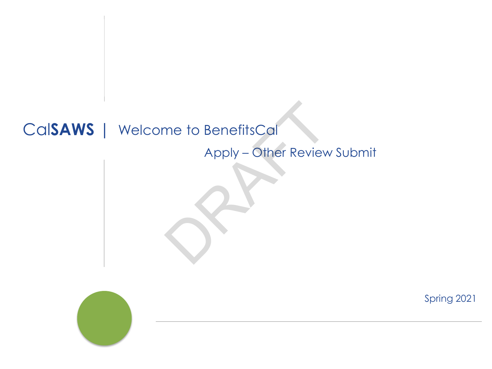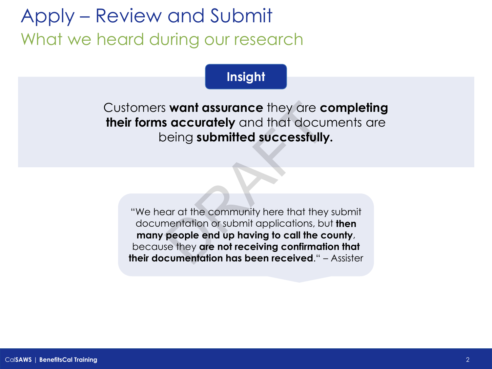# Apply – Review and Submit What we heard during our research

### **Insight**

Customers **want assurance** they are **completing their forms accurately** and that documents are being **submitted successfully.**

"We hear at the community here that they submit documentation or submit applications, but **then many people end up having to call the county**, because they **are not receiving confirmation that their documentation has been received**." – Assister **Solution and the set of the solution of the solution of submitted successfully**<br>
Deling **submitted successfully**<br>
Carry of the community here that they<br>
mentation or submit applications, bu<br> **people end up having to call**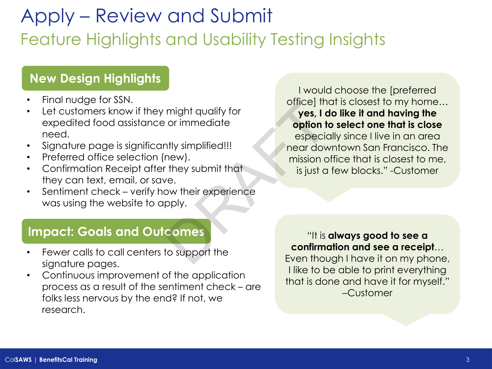## Apply – Review and Submit Feature Highlights and Usability Testing Insights

### **New Design Highlights**

- Final nudge for SSN.
- Let customers know if they might qualify for expedited food assistance or immediate need.
- Signature page is significantly simplified!!!
- Preferred office selection (new).
- Confirmation Receipt after they submit that they can text, email, or save.
- Sentiment check verify how their experience was using the website to apply.

I would choose the [preferred office] that is closest to my home… **yes, I do like it and having the option to select one that is close**  especially since I live in an area near downtown San Francisco. The mission office that is closest to me, is just a few blocks." -Customer might qualify for<br>
or immediate<br>
or immediate<br>
or immediate<br>
or in the proposition of<br>
near dow<br>
mission c<br>
mission c<br>
mission c<br>
is just a<br>
ve.<br>
sepectic<br>
mission c<br>
mission c<br>
is just a<br>
is just a<br>
ve.<br>
pply.<br> **comes**<br>
t

#### **Impact: Goals and Outcomes**

- Fewer calls to call centers to support the signature pages.
- Continuous improvement of the application process as a result of the sentiment check – are folks less nervous by the end? If not, we research.

"It is **always good to see a confirmation and see a receipt**… Even though I have it on my phone, I like to be able to print everything that is done and have it for myself." –Customer